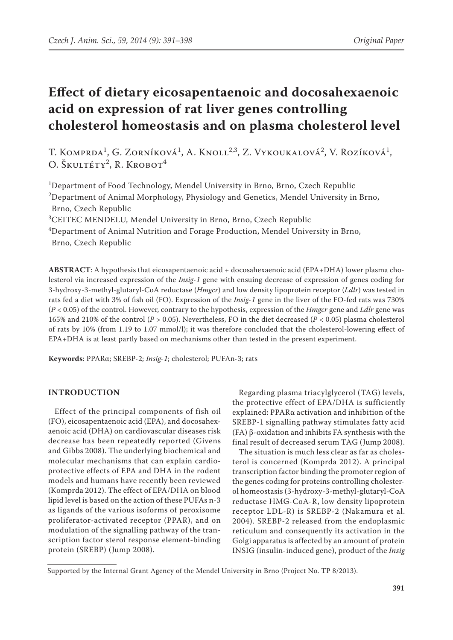# **Effect of dietary eicosapentaenoic and docosahexaenoic acid on expression of rat liver genes controlling cholesterol homeostasis and on plasma cholesterol level**

T. Komprda<sup>1</sup>, G. Zorníková<sup>1</sup>, A. Knoll<sup>2,3</sup>, Z. Vykoukalová<sup>2</sup>, V. Rozíková<sup>1</sup>, O. Škultéty<sup>2</sup>, R. Krobot<sup>4</sup>

1 Department of Food Technology, Mendel University in Brno, Brno, Czech Republic  $^{2}$ Department of Animal Morphology, Physiology and Genetics, Mendel University in Brno, Brno, Czech Republic

3 CEITEC MENDELU, Mendel University in Brno, Brno, Czech Republic

4 Department of Animal Nutrition and Forage Production, Mendel University in Brno, Brno, Czech Republic

**ABSTRACT**: A hypothesis that eicosapentaenoic acid + docosahexaenoic acid (EPA+DHA) lower plasma cholesterol via increased expression of the *Insig-1* gene with ensuing decrease of expression of genes coding for 3-hydroxy-3-methyl-glutaryl-CoA reductase (*Hmgcr*) and low density lipoprotein receptor (*Ldlr*) was tested in rats fed a diet with 3% of fish oil (FO). Expression of the *Insig-1* gene in the liver of the FO-fed rats was 730% (*P* < 0.05) of the control. However, contrary to the hypothesis, expression of the *Hmgcr* gene and *Ldlr* gene was 165% and 210% of the control (*P* > 0.05). Nevertheless, FO in the diet decreased (*P* < 0.05) plasma cholesterol of rats by 10% (from 1.19 to 1.07 mmol/l); it was therefore concluded that the cholesterol-lowering effect of EPA+DHA is at least partly based on mechanisms other than tested in the present experiment.

**Keywords**: PPARα; SREBP-2; *Insig-1*; cholesterol; PUFAn-3; rats

# **INTRODUCTION**

Effect of the principal components of fish oil (FO), eicosapentaenoic acid (EPA), and docosahexaenoic acid (DHA) on cardiovascular diseases risk decrease has been repeatedly reported (Givens and Gibbs 2008). The underlying biochemical and molecular mechanisms that can explain cardioprotective effects of EPA and DHA in the rodent models and humans have recently been reviewed (Komprda 2012). The effect of EPA/DHA on blood lipid level is based on the action of these PUFAs n-3 as ligands of the various isoforms of peroxisome proliferator-activated receptor (PPAR), and on modulation of the signalling pathway of the transcription factor sterol response element-binding protein (SREBP) (Jump 2008).

Regarding plasma triacylglycerol (TAG) levels, the protective effect of EPA/DHA is sufficiently explained: PPARα activation and inhibition of the SREBP-1 signalling pathway stimulates fatty acid (FA) β-oxidation and inhibits FA synthesis with the final result of decreased serum TAG (Jump 2008).

The situation is much less clear as far as cholesterol is concerned (Komprda 2012). A principal transcription factor binding the promoter region of the genes coding for proteins controlling cholesterol homeostasis (3-hydroxy-3-methyl-glutaryl-CoA reductase HMG-CoA-R, low density lipoprotein receptor LDL-R) is SREBP-2 (Nakamura et al. 2004). SREBP-2 released from the endoplasmic reticulum and consequently its activation in the Golgi apparatus is affected by an amount of protein INSIG (insulin-induced gene), product of the *Insig*

Supported by the Internal Grant Agency of the Mendel University in Brno (Project No. TP 8/2013).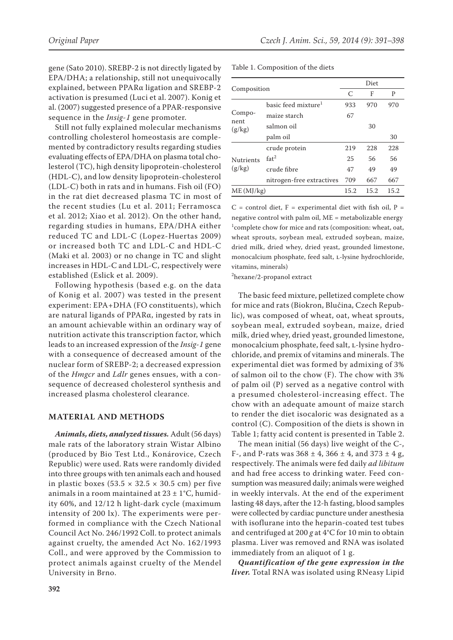gene (Sato 2010). SREBP-2 is not directly ligated by EPA/DHA; a relationship, still not unequivocally explained, between PPARα ligation and SREBP-2 activation is presumed (Luci et al. 2007). Konig et al. (2007) suggested presence of a PPAR-responsive sequence in the *Insig-1* gene promoter.

Still not fully explained molecular mechanisms controlling cholesterol homeostasis are complemented by contradictory results regarding studies evaluating effects of EPA/DHA on plasma total cholesterol (TC), high density lipoprotein-cholesterol (HDL-C), and low density lipoprotein-cholesterol (LDL-C) both in rats and in humans. Fish oil (FO) in the rat diet decreased plasma TC in most of the recent studies (Lu et al. 2011; Ferramosca et al. 2012; Xiao et al. 2012). On the other hand, regarding studies in humans, EPA/DHA either reduced TC and LDL-C (Lopez-Huertas 2009) or increased both TC and LDL-C and HDL-C (Maki et al. 2003) or no change in TC and slight increases in HDL-C and LDL-C, respectively were established (Eslick et al. 2009).

Following hypothesis (based e.g. on the data of Konig et al. 2007) was tested in the present experiment: EPA+DHA (FO constituents), which are natural ligands of PPARα, ingested by rats in an amount achievable within an ordinary way of nutrition activate this transcription factor, which leads to an increased expression of the *Insig-1* gene with a consequence of decreased amount of the nuclear form of SREBP-2; a decreased expression of the *Hmgcr* and *Ldlr* genes ensues, with a consequence of decreased cholesterol synthesis and increased plasma cholesterol clearance.

### **MATERIAL AND METHODS**

*Animals, diets, analyzed tissues.* Adult (56 days) male rats of the laboratory strain Wistar Albino (produced by Bio Test Ltd., Konárovice, Czech Republic) were used. Rats were randomly divided into three groups with ten animals each and housed in plastic boxes (53.5  $\times$  32.5  $\times$  30.5 cm) per five animals in a room maintained at  $23 \pm 1^{\circ}$ C, humidity 60%, and 12/12 h light-dark cycle (maximum intensity of 200 lx). The experiments were performed in compliance with the Czech National Council Act No. 246/1992 Coll. to protect animals against cruelty, the amended Act No. 162/1993 Coll., and were approved by the Commission to protect animals against cruelty of the Mendel University in Brno.

|  | Table 1. Composition of the diets |  |
|--|-----------------------------------|--|
|--|-----------------------------------|--|

|                            |                                 | Diet |      |      |
|----------------------------|---------------------------------|------|------|------|
| Composition                |                                 | C    | F    | P    |
| Compo-<br>nent<br>(g/kg)   | basic feed mixture <sup>1</sup> | 933  | 970  | 970  |
|                            | maize starch                    | 67   |      |      |
|                            | salmon oil                      |      | 30   |      |
|                            | palm oil                        |      |      | 30   |
|                            | 219<br>crude protein            | 228  | 228  |      |
| <b>Nutrients</b><br>(g/kg) | $f$ at <sup>2</sup>             | 25   | 56   | 56   |
|                            | crude fibre                     | 47   | 49   | 49   |
|                            | nitrogen-free extractives       | 709  | 667  | 667  |
| ME(MJ/kg)                  |                                 | 15.2 | 15.2 | 15.2 |

 $C =$  control diet,  $F =$  experimental diet with fish oil,  $P =$ negative control with palm oil, ME = metabolizable energy  $1$ complete chow for mice and rats (composition: wheat, oat, wheat sprouts, soybean meal, extruded soybean, maize, dried milk, dried whey, dried yeast, grounded limestone, monocalcium phosphate, feed salt, L-lysine hydrochloride, vitamins, minerals)

2 hexane/2-propanol extract

The basic feed mixture, pelletized complete chow for mice and rats (Biokron, Blučina, Czech Republic), was composed of wheat, oat, wheat sprouts, soybean meal, extruded soybean, maize, dried milk, dried whey, dried yeast, grounded limestone, monocalcium phosphate, feed salt, L-lysine hydrochloride, and premix of vitamins and minerals. The experimental diet was formed by admixing of 3% of salmon oil to the chow (F). The chow with 3% of palm oil (P) served as a negative control with a presumed cholesterol-increasing effect. The chow with an adequate amount of maize starch to render the diet isocaloric was designated as a control (C). Composition of the diets is shown in Table 1; fatty acid content is presented in Table 2.

The mean initial (56 days) live weight of the C-, F-, and P-rats was  $368 \pm 4$ ,  $366 \pm 4$ , and  $373 \pm 4$  g, respectively. The animals were fed daily *ad libitum* and had free access to drinking water. Feed consumption was measured daily; animals were weighed in weekly intervals. At the end of the experiment lasting 48 days, after the 12-h fasting, blood samples were collected by cardiac puncture under anesthesia with isoflurane into the heparin-coated test tubes and centrifuged at 200 *g* at 4°C for 10 min to obtain plasma. Liver was removed and RNA was isolated immediately from an aliquot of 1 g.

*Quantification of the gene expression in the liver.* Total RNA was isolated using RNeasy Lipid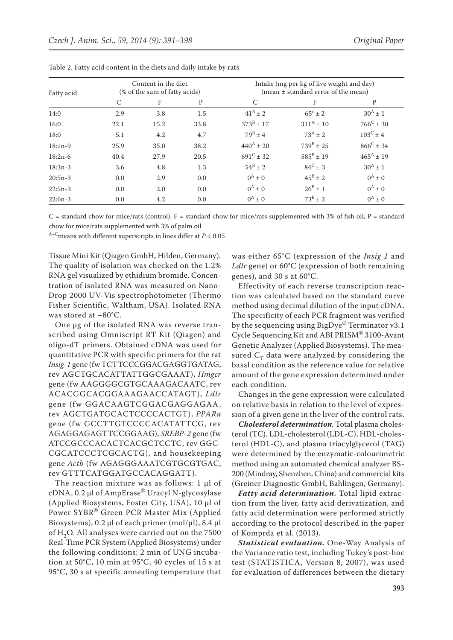| Fatty acid | Content in the diet<br>(% of the sum of fatty acids) |      |      | Intake (mg per kg of live weight and day)<br>(mean $\pm$ standard error of the mean) |                    |                      |
|------------|------------------------------------------------------|------|------|--------------------------------------------------------------------------------------|--------------------|----------------------|
|            | C                                                    | F    | P    | C                                                                                    | F                  | P                    |
| 14:0       | 2.9                                                  | 3.8  | 1.5  | $41^{\rm B} \pm 2$                                                                   | $65^{\circ}$ ± 2   | $30^{A} \pm 1$       |
| 16:0       | 22.1                                                 | 15.2 | 33.8 | $373^B \pm 17$                                                                       | $311^A \pm 10$     | $766^{\circ}$ ± 30   |
| 18:0       | 5.1                                                  | 4.2  | 4.7  | $79^{\rm B} \pm 4$                                                                   | $73^A + 2$         | $103^{\circ}$ ± 4    |
| $18:1n-9$  | 25.9                                                 | 35.0 | 38.2 | $440^{\rm A} \pm 20$                                                                 | $739^{\rm B} + 25$ | $866^{\circ} \pm 34$ |
| $18:2n-6$  | 40.4                                                 | 27.9 | 20.5 | $691^{\circ}$ ± 32                                                                   | $585^{\rm B}$ ± 19 | $465^{\rm A}$ ± 19   |
| $18:3n-3$  | 3.6                                                  | 4.8  | 1.3  | $54^B \pm 2$                                                                         | $84^{\circ}$ ± 3   | $30^{A} \pm 1$       |
| $20:5n-3$  | 0.0                                                  | 2.9  | 0.0  | $0^A \pm 0$                                                                          | $45^{\rm B} \pm 2$ | $0^A \pm 0$          |
| $22:5n-3$  | 0.0                                                  | 2.0  | 0.0  | $0^A \pm 0$                                                                          | $26^B \pm 1$       | $0^A \pm 0$          |
| $22:6n-3$  | 0.0                                                  | 4.2  | 0.0  | $0^A \pm 0$                                                                          | $73^B \pm 2$       | $0^A \pm 0$          |

Table 2. Fatty acid content in the diets and daily intake by rats

 $C =$  standard chow for mice/rats (control),  $F =$  standard chow for mice/rats supplemented with 3% of fish oil,  $P =$  standard chow for mice/rats supplemented with 3% of palm oil

A–Cmeans with different superscripts in lines differ at *P* < 0.05

Tissue Mini Kit (Qiagen GmbH, Hilden, Germany). The quality of isolation was checked on the 1.2% RNA gel visualized by ethidium bromide. Concentration of isolated RNA was measured on Nano-Drop 2000 UV-Vis spectrophotometer (Thermo Fisher Scientific, Waltham, USA). Isolated RNA was stored at –80°C.

One μg of the isolated RNA was reverse transcribed using Omniscript RT Kit (Qiagen) and oligo-dT primers. Obtained cDNA was used for quantitative PCR with specific primers for the rat *Insig-1* gene (fw TCTTCCCGGACGAGGTGATAG, rev AGCTGCACATTATTGGCGAAAT), *Hmgcr* gene (fw AAGGGGCGTGCAAAGACAATC, rev ACACGGCACGGAAAGAACCATAGT), *Ldlr* gene (fw GGACAAGTCGGACGAGGAGAA, rev AGCTGATGCACTCCCCACTGT), *PPARα* gene (fw GCCTTGTCCCCACATATTCG, rev AGAGGAGAGTTCCGGAAG), *SREBP-2* gene (fw ATCCGCCCACACTCACGCTCCTC, rev GGC-CGCATCCCTCGCACTG), and housekeeping gene *Actb* (fw AGAGGGAAATCGTGCGTGAC, rev GTTTCATGGATGCCACAGGATT).

The reaction mixture was as follows: 1 μl of cDNA, 0.2 μl of AmpErase® Uracyl N-glycosylase (Applied Biosystems, Foster City, USA), 10 μl of Power SYBR® Green PCR Master Mix (Applied Biosystems), 0.2 μl of each primer (mol/μl), 8.4 μl of H<sub>2</sub>O. All analyses were carried out on the 7500 Real-Time PCR System (Applied Biosystems) under the following conditions: 2 min of UNG incubation at  $50^{\circ}$ C, 10 min at  $95^{\circ}$ C, 40 cycles of 15 s at 95°C, 30 s at specific annealing temperature that was either 65°C (expression of the *Insig 1* and *Ldlr* gene) or 60°C (expression of both remaining genes), and 30 s at 60°C.

Effectivity of each reverse transcription reaction was calculated based on the standard curve method using decimal dilution of the input cDNA. The specificity of each PCR fragment was verified by the sequencing using BigDye® Terminator v3.1 Cycle Sequencing Kit and ABI PRISM® 3100-Avant Genetic Analyzer (Applied Biosystems). The measured  $C_T$  data were analyzed by considering the basal condition as the reference value for relative amount of the gene expression determined under each condition.

Changes in the gene expression were calculated on relative basis in relation to the level of expression of a given gene in the liver of the control rats.

*Cholesterol determination.* Total plasma cholesterol (TC), LDL-cholesterol (LDL-C), HDL-cholesterol (HDL-C), and plasma triacylglycerol (TAG) were determined by the enzymatic-colourimetric method using an automated chemical analyzer BS-200 (Mindray, Shenzhen, China) and commercial kits (Greiner Diagnostic GmbH, Bahlingen, Germany).

*Fatty acid determination.* Total lipid extraction from the liver, fatty acid derivatization, and fatty acid determination were performed strictly according to the protocol described in the paper of Komprda et al. (2013).

*Statistical evaluation.* One-Way Analysis of the Variance ratio test, including Tukey's post-hoc test (STATISTICA, Version 8, 2007), was used for evaluation of differences between the dietary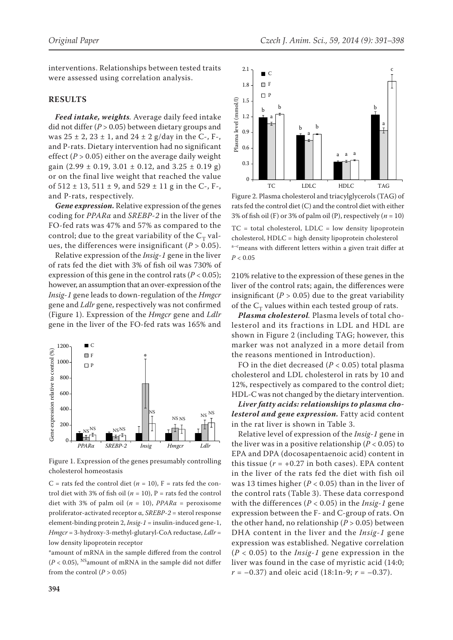interventions. Relationships between tested traits were assessed using correlation analysis.

## **RESULTS**

*Feed intake, weights.* Average daily feed intake did not differ (*P* > 0.05) between dietary groups and was  $25 \pm 2$ ,  $23 \pm 1$ , and  $24 \pm 2$  g/day in the C-, F-, and P-rats. Dietary intervention had no significant effect ( $P > 0.05$ ) either on the average daily weight gain (2.99  $\pm$  0.19, 3.01  $\pm$  0.12, and 3.25  $\pm$  0.19 g) or on the final live weight that reached the value of  $512 \pm 13$ ,  $511 \pm 9$ , and  $529 \pm 11$  g in the C-, F-, and P-rats, respectively.

*Gene expression.* Relative expression of the genes coding for *PPARα* and *SREBP-2* in the liver of the FO-fed rats was 47% and 57% as compared to the control; due to the great variability of the  $C_T$  values, the differences were insignificant (*P* > 0.05).

Relative expression of the *Insig*-*1* gene in the liver of rats fed the diet with 3% of fish oil was 730% of expression of this gene in the control rats (*P* < 0.05); however, an assumption that an over-expression of the *Insig*-*1* gene leads to down-regulation of the *Hmgcr* gene and *Ldlr* gene, respectively was not confirmed (Figure 1). Expression of the *Hmgcr* gene and *Ldlr* gene in the liver of the FO-fed rats was 165% and



Figure 1. Expression of the genes presumably controlling cholesterol homeostasis

C = rats fed the control diet  $(n = 10)$ , F = rats fed the control diet with 3% of fish oil ( $n = 10$ ), P = rats fed the control diet with 3% of palm oil ( $n = 10$ ), *PPARa* = peroxisome proliferator-activated receptor α, *SREBP-2* = sterol response element-binding protein 2, *Insig-1* = insulin-induced gene-1, *Hmgcr* = 3-hydroxy-3-methyl-glutaryl-CoA reductase, *Ldlr* = low density lipoprotein receptor

\*amount of mRNA in the sample differed from the control  $(P<0.05),$   $^{\rm NS}$  amount of mRNA in the sample did not differ from the control  $(P > 0.05)$ 



Figure 2. Plasma cholesterol and triacylglycerols (TAG) of rats fed the control diet (C) and the control diet with either 3% of fish oil (F) or 3% of palm oil (P), respectively  $(n = 10)$  $TC = total cholesterol, LDL = low density lipoprotein$ cholesterol, HDLC = high density lipoprotein cholesterol a-c<sub>means</sub> with different letters within a given trait differ at  $P < 0.05$ 

210% relative to the expression of these genes in the liver of the control rats; again, the differences were insignificant  $(P > 0.05)$  due to the great variability of the  $C_T$  values within each tested group of rats.

*Plasma cholesterol.* Plasma levels of total cholesterol and its fractions in LDL and HDL are shown in Figure 2 (including TAG; however, this marker was not analyzed in a more detail from the reasons mentioned in Introduction).

FO in the diet decreased ( $P < 0.05$ ) total plasma cholesterol and LDL cholesterol in rats by 10 and 12%, respectively as compared to the control diet; HDL-C was not changed by the dietary intervention.

*Liver fatty acids: relationships to plasma cholesterol and gene expression.* Fatty acid content in the rat liver is shown in Table 3.

Relative level of expression of the *Insig-1* gene in the liver was in a positive relationship ( $P < 0.05$ ) to EPA and DPA (docosapentaenoic acid) content in this tissue  $(r = +0.27$  in both cases). EPA content in the liver of the rats fed the diet with fish oil was 13 times higher (*P* < 0.05) than in the liver of the control rats (Table 3). These data correspond with the differences ( $P < 0.05$ ) in the *Insig-1* gene expression between the F- and C-group of rats. On the other hand, no relationship ( $P > 0.05$ ) between DHA content in the liver and the *Insig*-*1* gene expression was established. Negative correlation (*P* < 0.05) to the *Insig*-*1* gene expression in the liver was found in the case of myristic acid (14:0; *r* = –0.37) and oleic acid (18:1n-9; *r* = –0.37).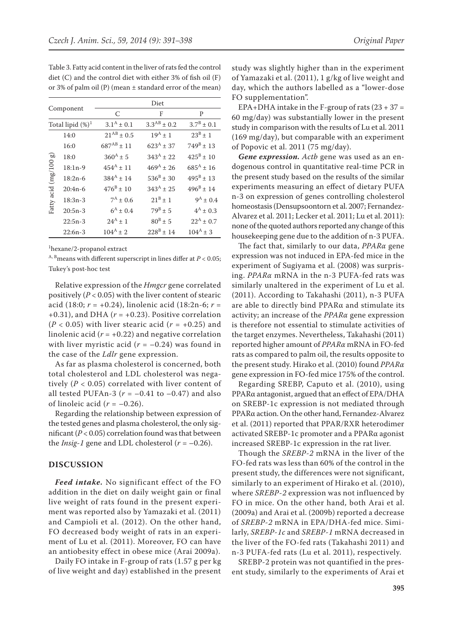|                       |                      | Diet                  |                    |                      |  |
|-----------------------|----------------------|-----------------------|--------------------|----------------------|--|
|                       | Component            | C                     | F                  | P                    |  |
|                       | Total lipid $(\%)^1$ | $3.1^{\rm A} \pm 0.1$ | $3.3^{AB} \pm 0.2$ | $3.7^B \pm 0.1$      |  |
|                       | 14:0                 | $21^{AB}$ ± 0.5       | $19^A + 1$         | $23^B + 1$           |  |
| Fatty acid (mg/100 g) | 16:0                 | $687^{AB}$ ± 11       | $623^A \pm 37$     | $749^{\rm B}$ ± 13   |  |
|                       | 18:0                 | $360^{\rm A} \pm 5$   | $343^A + 22$       | $425^{\rm B}+10$     |  |
|                       | $18:1n-9$            | $454^{\rm A}$ ± 11    | $469^A + 26$       | $685^{\rm A}$ ± 16   |  |
|                       | $18:2n-6$            | $384^A \pm 14$        | $536^B \pm 30$     | $495^{\rm B} \pm 13$ |  |
|                       | $20:4n-6$            | $476^{\rm B} \pm 10$  | $343^{\rm A}$ ± 25 | $496^{\rm B} \pm 14$ |  |
|                       | $18:3n-3$            | $7^A \pm 0.6$         | $21^{\rm B}+1$     | $9^A \pm 0.4$        |  |
|                       | $20:5n-3$            | $6^{\rm A} \pm 0.4$   | $79^{\rm B} \pm 5$ | $4^A \pm 0.3$        |  |
|                       | $22:5n-3$            | $24^A + 1$            | $80^{B} \pm 5$     | $22^A \pm 0.7$       |  |
|                       | $22:6n-3$            | $104^A \pm 2$         | $228^B \pm 14$     | $104^A \pm 3$        |  |

Table 3. Fatty acid content in the liver of rats fed the control diet (C) and the control diet with either 3% of fish oil (F) or 3% of palm oil (P) (mean ± standard error of the mean)

1 hexane/2-propanol extract

 $A$ ,  $B$ <sub>means</sub> with different superscript in lines differ at  $P < 0.05$ ; Tukey's post-hoc test

Relative expression of the *Hmgcr* gene correlated positively (*P* < 0.05) with the liver content of stearic acid (18:0; *r* = +0.24), linolenic acid (18:2n-6; *r* = +0.31), and DHA ( $r = +0.23$ ). Positive correlation  $(P < 0.05)$  with liver stearic acid  $(r = +0.25)$  and linolenic acid ( $r = +0.22$ ) and negative correlation with liver myristic acid  $(r = -0.24)$  was found in the case of the *Ldlr* gene expression.

As far as plasma cholesterol is concerned, both total cholesterol and LDL cholesterol was negatively ( $P < 0.05$ ) correlated with liver content of all tested PUFAn-3 ( $r = -0.41$  to  $-0.47$ ) and also of linoleic acid  $(r = -0.26)$ .

Regarding the relationship between expression of the tested genes and plasma cholesterol, the only significant  $(P < 0.05)$  correlation found was that between the *Insig-1* gene and LDL cholesterol  $(r = -0.26)$ .

### **DISCUSSION**

*Feed intake.* No significant effect of the FO addition in the diet on daily weight gain or final live weight of rats found in the present experiment was reported also by Yamazaki et al. (2011) and Campioli et al. (2012). On the other hand, FO decreased body weight of rats in an experiment of Lu et al. (2011). Moreover, FO can have an antiobesity effect in obese mice (Arai 2009a).

Daily FO intake in F-group of rats (1.57 g per kg of live weight and day) established in the present study was slightly higher than in the experiment of Yamazaki et al. (2011), 1 g/kg of live weight and day, which the authors labelled as a "lower-dose FO supplementation".

EPA+DHA intake in the F-group of rats  $(23 + 37)$  = 60 mg/day) was substantially lower in the present study in comparison with the results of Lu et al. 2011 (169 mg/day), but comparable with an experiment of Popovic et al. 2011 (75 mg/day).

*Gene expression. Actb* gene was used as an endogenous control in quantitative real-time PCR in the present study based on the results of the similar experiments measuring an effect of dietary PUFA n-3 on expression of genes controlling cholesterol homeostasis (Densupsoontorn et al. 2007; Fernandez-Alvarez et al. 2011; Lecker et al. 2011; Lu et al. 2011): none of the quoted authors reported any change of this housekeeping gene due to the addition of n-3 PUFA.

The fact that, similarly to our data, *PPARα* gene expression was not induced in EPA-fed mice in the experiment of Sugiyama et al. (2008) was surprising. *PPARα* mRNA in the n-3 PUFA-fed rats was similarly unaltered in the experiment of Lu et al. (2011). According to Takahashi (2011), n-3 PUFA are able to directly bind PPARα and stimulate its activity; an increase of the *PPARα* gene expression is therefore not essential to stimulate activities of the target enzymes. Nevertheless, Takahashi (2011) reported higher amount of *PPARα* mRNA in FO-fed rats as compared to palm oil, the results opposite to the present study. Hirako et al. (2010) found *PPARα* gene expression in FO-fed mice 175% of the control.

Regarding SREBP, Caputo et al. (2010), using PPARα antagonist, argued that an effect of EPA/DHA on SREBP-1c expression is not mediated through PPARα action. On the other hand, Fernandez-Alvarez et al. (2011) reported that PPAR/RXR heterodimer activated SREBP-1c promoter and a PPARα agonist increased SREBP-1c expression in the rat liver.

Though the *SREBP-2* mRNA in the liver of the FO-fed rats was less than 60% of the control in the present study, the differences were not significant, similarly to an experiment of Hirako et al. (2010), where *SREBP-2* expression was not influenced by FO in mice. On the other hand, both Arai et al. (2009a) and Arai et al. (2009b) reported a decrease of *SREBP-2* mRNA in EPA/DHA-fed mice. Similarly, *SREBP-1c* and *SREBP-1* mRNA decreased in the liver of the FO-fed rats (Takahashi 2011) and n-3 PUFA-fed rats (Lu et al. 2011), respectively.

SREBP-2 protein was not quantified in the present study, similarly to the experiments of Arai et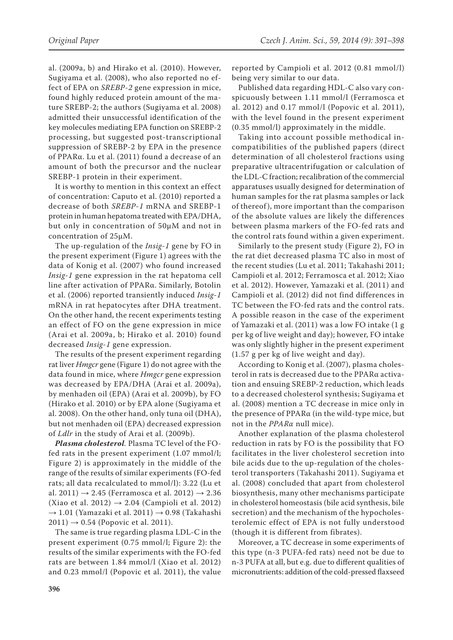al. (2009a, b) and Hirako et al. (2010). However, Sugiyama et al. (2008), who also reported no effect of EPA on *SREBP-2* gene expression in mice, found highly reduced protein amount of the mature SREBP-2; the authors (Sugiyama et al. 2008) admitted their unsuccessful identification of the key molecules mediating EPA function on SREBP-2 processing, but suggested post-transcriptional suppression of SREBP-2 by EPA in the presence of PPARα. Lu et al. (2011) found a decrease of an amount of both the precursor and the nuclear SREBP-1 protein in their experiment.

It is worthy to mention in this context an effect of concentration: Caputo et al. (2010) reported a decrease of both *SREBP-1* mRNA and SREBP-1 protein in human hepatoma treated with EPA/DHA, but only in concentration of 50μM and not in concentration of 25μM.

The up-regulation of the *Insig*-*1* gene by FO in the present experiment (Figure 1) agrees with the data of Konig et al. (2007) who found increased *Insig-1* gene expression in the rat hepatoma cell line after activation of PPARα. Similarly, Botolin et al. (2006) reported transiently induced *Insig-1* mRNA in rat hepatocytes after DHA treatment. On the other hand, the recent experiments testing an effect of FO on the gene expression in mice (Arai et al. 2009a, b; Hirako et al. 2010) found decreased *Insig-1* gene expression.

The results of the present experiment regarding rat liver *Hmgcr* gene (Figure 1) do not agree with the data found in mice, where *Hmgcr* gene expression was decreased by EPA/DHA (Arai et al. 2009a), by menhaden oil (EPA) (Arai et al. 2009b), by FO (Hirako et al. 2010) or by EPA alone (Sugiyama et al. 2008). On the other hand, only tuna oil (DHA), but not menhaden oil (EPA) decreased expression of *Ldlr* in the study of Arai et al. (2009b).

*Plasma cholesterol.* Plasma TC level of the FOfed rats in the present experiment (1.07 mmol/l; Figure 2) is approximately in the middle of the range of the results of similar experiments (FO-fed rats; all data recalculated to mmol/l): 3.22 (Lu et al. 2011)  $\rightarrow$  2.45 (Ferramosca et al. 2012)  $\rightarrow$  2.36 (Xiao et al. 2012)  $\rightarrow$  2.04 (Campioli et al. 2012)  $\rightarrow$  1.01 (Yamazaki et al. 2011)  $\rightarrow$  0.98 (Takahashi  $2011) \rightarrow 0.54$  (Popovic et al. 2011).

The same is true regarding plasma LDL-C in the present experiment (0.75 mmol/l; Figure 2): the results of the similar experiments with the FO-fed rats are between 1.84 mmol/l (Xiao et al. 2012) and 0.23 mmol/l (Popovic et al. 2011), the value

reported by Campioli et al. 2012 (0.81 mmol/l) being very similar to our data.

Published data regarding HDL-C also vary conspicuously between 1.11 mmol/l (Ferramosca et al. 2012) and 0.17 mmol/l (Popovic et al. 2011), with the level found in the present experiment (0.35 mmol/l) approximately in the middle.

Taking into account possible methodical incompatibilities of the published papers (direct determination of all cholesterol fractions using preparative ultracentrifugation or calculation of the LDL-C fraction; recalibration of the commercial apparatuses usually designed for determination of human samples for the rat plasma samples or lack of thereof ), more important than the comparison of the absolute values are likely the differences between plasma markers of the FO-fed rats and the control rats found within a given experiment.

Similarly to the present study (Figure 2), FO in the rat diet decreased plasma TC also in most of the recent studies (Lu et al. 2011; Takahashi 2011; Campioli et al. 2012; Ferramosca et al. 2012; Xiao et al. 2012). However, Yamazaki et al. (2011) and Campioli et al. (2012) did not find differences in TC between the FO-fed rats and the control rats. A possible reason in the case of the experiment of Yamazaki et al. (2011) was a low FO intake (1 g per kg of live weight and day); however, FO intake was only slightly higher in the present experiment (1.57 g per kg of live weight and day).

According to Konig et al. (2007), plasma cholesterol in rats is decreased due to the PPARα activation and ensuing SREBP-2 reduction, which leads to a decreased cholesterol synthesis; Sugiyama et al. (2008) mention a TC decrease in mice only in the presence of PPARα (in the wild-type mice, but not in the *PPARα* null mice).

Another explanation of the plasma cholesterol reduction in rats by FO is the possibility that FO facilitates in the liver cholesterol secretion into bile acids due to the up-regulation of the cholesterol transporters (Takahashi 2011). Sugiyama et al. (2008) concluded that apart from cholesterol biosynthesis, many other mechanisms participate in cholesterol homeostasis (bile acid synthesis, bile secretion) and the mechanism of the hypocholesterolemic effect of EPA is not fully understood (though it is different from fibrates).

Moreover, a TC decrease in some experiments of this type (n-3 PUFA-fed rats) need not be due to n-3 PUFA at all, but e.g. due to different qualities of micronutrients: addition of the cold-pressed flaxseed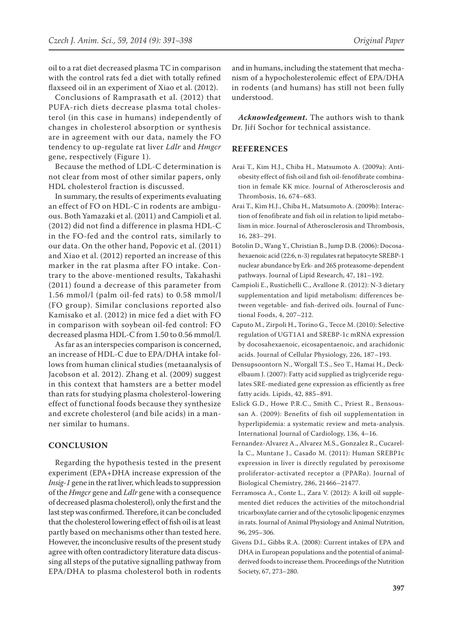oil to a rat diet decreased plasma TC in comparison with the control rats fed a diet with totally refined flaxseed oil in an experiment of Xiao et al. (2012).

Conclusions of Ramprasath et al. (2012) that PUFA-rich diets decrease plasma total cholesterol (in this case in humans) independently of changes in cholesterol absorption or synthesis are in agreement with our data, namely the FO tendency to up-regulate rat liver *Ldlr* and *Hmgcr* gene, respectively (Figure 1).

Because the method of LDL-C determination is not clear from most of other similar papers, only HDL cholesterol fraction is discussed.

In summary, the results of experiments evaluating an effect of FO on HDL-C in rodents are ambiguous. Both Yamazaki et al. (2011) and Campioli et al. (2012) did not find a difference in plasma HDL-C in the FO-fed and the control rats, similarly to our data. On the other hand, Popovic et al. (2011) and Xiao et al. (2012) reported an increase of this marker in the rat plasma after FO intake. Contrary to the above-mentioned results, Takahashi (2011) found a decrease of this parameter from 1.56 mmol/l (palm oil-fed rats) to 0.58 mmol/l (FO group). Similar conclusions reported also Kamisako et al. (2012) in mice fed a diet with FO in comparison with soybean oil-fed control: FO decreased plasma HDL-C from 1.50 to 0.56 mmol/l.

As far as an interspecies comparison is concerned, an increase of HDL-C due to EPA/DHA intake follows from human clinical studies (metaanalysis of Jacobson et al. 2012). Zhang et al. (2009) suggest in this context that hamsters are a better model than rats for studying plasma cholesterol-lowering effect of functional foods because they synthesize and excrete cholesterol (and bile acids) in a manner similar to humans.

# **CONCLUSION**

Regarding the hypothesis tested in the present experiment (EPA+DHA increase expression of the *Insig-1* gene in the rat liver, which leads to suppression of the *Hmgcr* gene and *Ldlr* gene with a consequence of decreased plasma cholesterol), only the first and the last step was confirmed. Therefore, it can be concluded that the cholesterol lowering effect of fish oil is at least partly based on mechanisms other than tested here. However, the inconclusive results of the present study agree with often contradictory literature data discussing all steps of the putative signalling pathway from EPA/DHA to plasma cholesterol both in rodents and in humans, including the statement that mechanism of a hypocholesterolemic effect of EPA/DHA in rodents (and humans) has still not been fully understood.

*Acknowledgement***.** The authors wish to thank Dr. Jiří Sochor for technical assistance.

#### **REFERENCES**

- Arai T., Kim H.J., Chiba H., Matsumoto A. (2009a): Antiobesity effect of fish oil and fish oil-fenofibrate combination in female KK mice. Journal of Atherosclerosis and Thrombosis, 16, 674–683.
- Arai T., Kim H.J., Chiba H., Matsumoto A. (2009b): Interaction of fenofibrate and fish oil in relation to lipid metabolism in mice. Journal of Atherosclerosis and Thrombosis, 16, 283–291.
- Botolin D., Wang Y., Christian B., Jump D.B. (2006): Docosahexaenoic acid (22:6, n-3) regulates rat hepatocyte SREBP-1 nuclear abundance by Erk- and 26S proteasome-dependent pathways. Journal of Lipid Research, 47, 181–192.
- Campioli E., Rustichelli C., Avallone R. (2012): N-3 dietary supplementation and lipid metabolism: differences between vegetable- and fish-derived oils. Journal of Functional Foods, 4, 207–212.
- Caputo M., Zirpoli H., Torino G., Tecce M. (2010): Selective regulation of UGT1A1 and SREBP-1c mRNA expression by docosahexaenoic, eicosapentaenoic, and arachidonic acids. Journal of Cellular Physiology, 226, 187–193.
- Densupsoontorn N., Worgall T.S., Seo T., Hamai H., Deckelbaum J. (2007): Fatty acid supplied as triglyceride regulates SRE-mediated gene expression as efficiently as free fatty acids. Lipids, 42, 885–891.
- Eslick G.D., Howe P.R.C., Smith C., Priest R., Bensoussan A. (2009): Benefits of fish oil supplementation in hyperlipidemia: a systematic review and meta-analysis. International Journal of Cardiology, 136, 4–16.
- Fernandez-Alvarez A., Alvarez M.S., Gonzalez R., Cucarella C., Muntane J., Casado M. (2011): Human SREBP1c expression in liver is directly regulated by peroxisome proliferator-activated receptor α (PPARα). Journal of Biological Chemistry, 286, 21466–21477.
- Ferramosca A., Conte L., Zara V. (2012): A krill oil supplemented diet reduces the activities of the mitochondrial tricarboxylate carrier and of the cytosolic lipogenic enzymes in rats. Journal of Animal Physiology and Animal Nutrition, 96, 295–306.
- Givens D.I., Gibbs R.A. (2008): Current intakes of EPA and DHA in European populations and the potential of animalderived foods to increase them. Proceedings of the Nutrition Society, 67, 273–280.